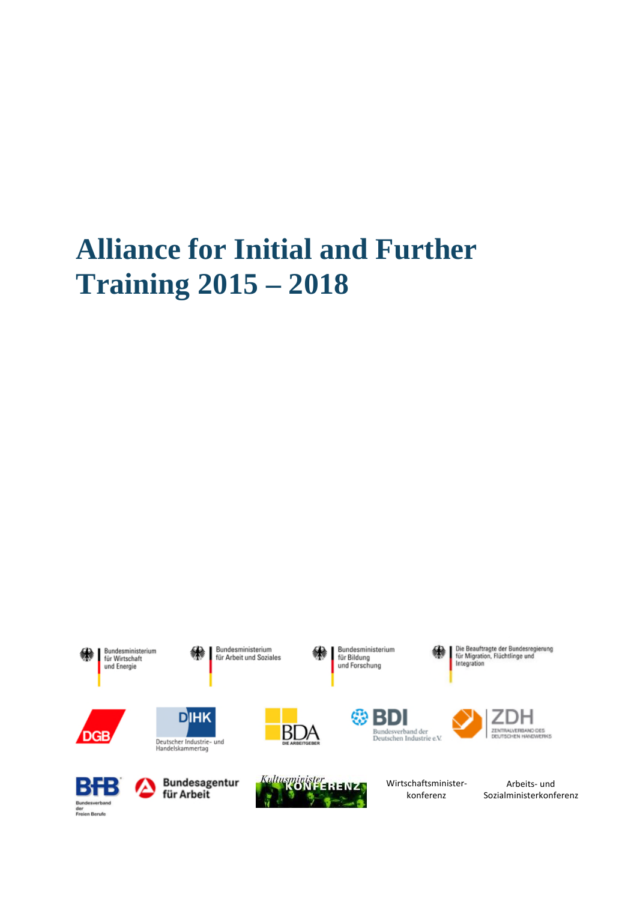# **Alliance for Initial and Further Training 2015 – 2018**

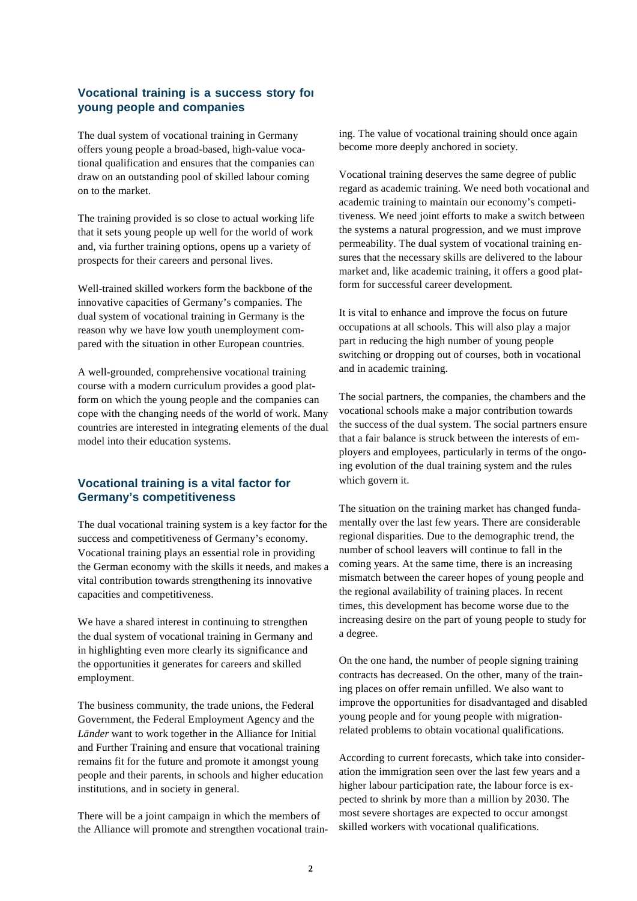### **Vocational training is a success story for young people and companies**

The dual system of vocational training in Germany offers young people a broad-based, high-value vocational qualification and ensures that the companies can draw on an outstanding pool of skilled labour coming on to the market.

The training provided is so close to actual working life that it sets young people up well for the world of work and, via further training options, opens up a variety of prospects for their careers and personal lives.

Well-trained skilled workers form the backbone of the innovative capacities of Germany's companies. The dual system of vocational training in Germany is the reason why we have low youth unemployment compared with the situation in other European countries.

A well-grounded, comprehensive vocational training course with a modern curriculum provides a good platform on which the young people and the companies can cope with the changing needs of the world of work. Many countries are interested in integrating elements of the dual model into their education systems.

## **Vocational training is a vital factor for Germany's competitiveness**

The dual vocational training system is a key factor for the success and competitiveness of Germany's economy. Vocational training plays an essential role in providing the German economy with the skills it needs, and makes a vital contribution towards strengthening its innovative capacities and competitiveness.

We have a shared interest in continuing to strengthen the dual system of vocational training in Germany and in highlighting even more clearly its significance and the opportunities it generates for careers and skilled employment.

The business community, the trade unions, the Federal Government, the Federal Employment Agency and the *Länder* want to work together in the Alliance for Initial and Further Training and ensure that vocational training remains fit for the future and promote it amongst young people and their parents, in schools and higher education institutions, and in society in general.

There will be a joint campaign in which the members of the Alliance will promote and strengthen vocational training. The value of vocational training should once again become more deeply anchored in society.

Vocational training deserves the same degree of public regard as academic training. We need both vocational and academic training to maintain our economy's competitiveness. We need joint efforts to make a switch between the systems a natural progression, and we must improve permeability. The dual system of vocational training ensures that the necessary skills are delivered to the labour market and, like academic training, it offers a good platform for successful career development.

It is vital to enhance and improve the focus on future occupations at all schools. This will also play a major part in reducing the high number of young people switching or dropping out of courses, both in vocational and in academic training.

The social partners, the companies, the chambers and the vocational schools make a major contribution towards the success of the dual system. The social partners ensure that a fair balance is struck between the interests of employers and employees, particularly in terms of the ongoing evolution of the dual training system and the rules which govern it.

The situation on the training market has changed fundamentally over the last few years. There are considerable regional disparities. Due to the demographic trend, the number of school leavers will continue to fall in the coming years. At the same time, there is an increasing mismatch between the career hopes of young people and the regional availability of training places. In recent times, this development has become worse due to the increasing desire on the part of young people to study for a degree.

On the one hand, the number of people signing training contracts has decreased. On the other, many of the training places on offer remain unfilled. We also want to improve the opportunities for disadvantaged and disabled young people and for young people with migrationrelated problems to obtain vocational qualifications.

According to current forecasts, which take into consideration the immigration seen over the last few years and a higher labour participation rate, the labour force is expected to shrink by more than a million by 2030. The most severe shortages are expected to occur amongst skilled workers with vocational qualifications.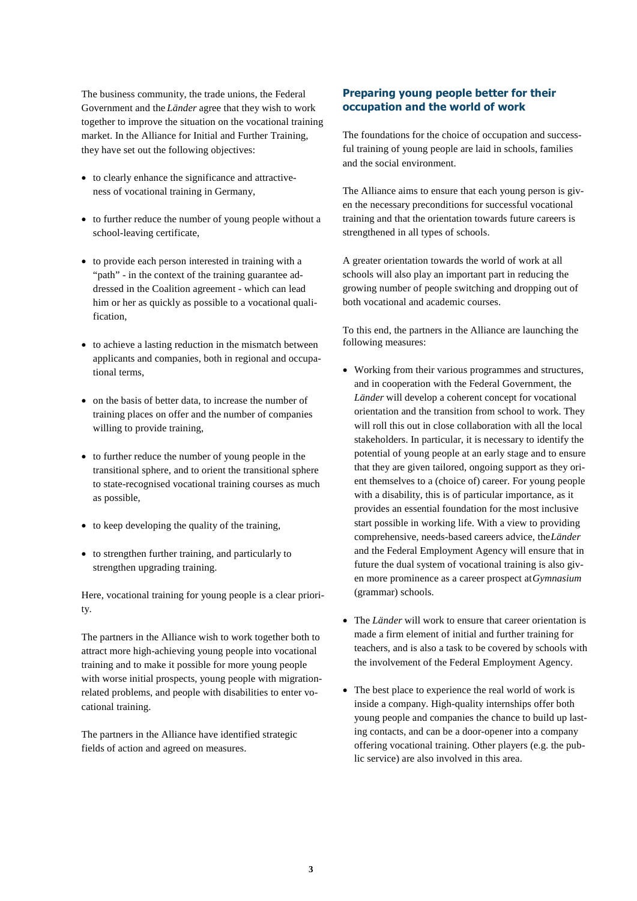The business community, the trade unions, the Federal Government and the *Länder* agree that they wish to work together to improve the situation on the vocational training market. In the Alliance for Initial and Further Training, they have set out the following objectives:

- to clearly enhance the significance and attractiveness of vocational training in Germany,
- to further reduce the number of young people without a school-leaving certificate,
- to provide each person interested in training with a "path" - in the context of the training guarantee addressed in the Coalition agreement - which can lead him or her as quickly as possible to a vocational qualification,
- to achieve a lasting reduction in the mismatch between applicants and companies, both in regional and occupational terms,
- on the basis of better data, to increase the number of training places on offer and the number of companies willing to provide training,
- to further reduce the number of young people in the transitional sphere, and to orient the transitional sphere to state-recognised vocational training courses as much as possible,
- to keep developing the quality of the training.
- to strengthen further training, and particularly to strengthen upgrading training.

Here, vocational training for young people is a clear priority.

The partners in the Alliance wish to work together both to attract more high-achieving young people into vocational training and to make it possible for more young people with worse initial prospects, young people with migrationrelated problems, and people with disabilities to enter vocational training.

The partners in the Alliance have identified strategic fields of action and agreed on measures.

#### **Preparing young people better for their occupation and the world of work**

The foundations for the choice of occupation and successful training of young people are laid in schools, families and the social environment.

The Alliance aims to ensure that each young person is given the necessary preconditions for successful vocational training and that the orientation towards future careers is strengthened in all types of schools.

A greater orientation towards the world of work at all schools will also play an important part in reducing the growing number of people switching and dropping out of both vocational and academic courses.

To this end, the partners in the Alliance are launching the following measures:

- Working from their various programmes and structures, and in cooperation with the Federal Government, the *Länder* will develop a coherent concept for vocational orientation and the transition from school to work. They will roll this out in close collaboration with all the local stakeholders. In particular, it is necessary to identify the potential of young people at an early stage and to ensure that they are given tailored, ongoing support as they orient themselves to a (choice of) career. For young people with a disability, this is of particular importance, as it provides an essential foundation for the most inclusive start possible in working life. With a view to providing comprehensive, needs-based careers advice, the*Länder* and the Federal Employment Agency will ensure that in future the dual system of vocational training is also given more prominence as a career prospect at*Gymnasium* (grammar) schools.
- The *Länder* will work to ensure that career orientation is made a firm element of initial and further training for teachers, and is also a task to be covered by schools with the involvement of the Federal Employment Agency.
- The best place to experience the real world of work is inside a company. High-quality internships offer both young people and companies the chance to build up lasting contacts, and can be a door-opener into a company offering vocational training. Other players (e.g. the public service) are also involved in this area.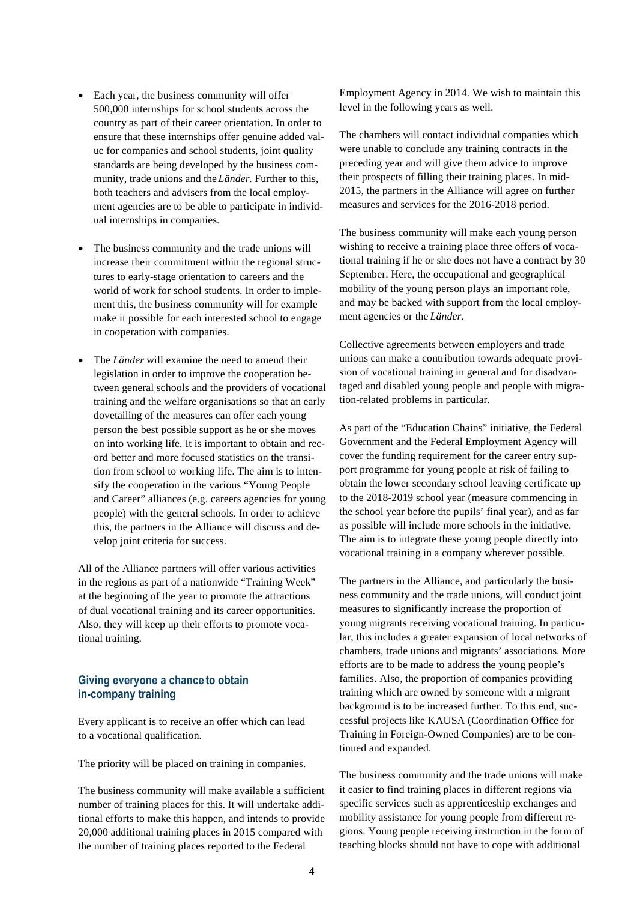- Each year, the business community will offer 500,000 internships for school students across the country as part of their career orientation. In order to ensure that these internships offer genuine added value for companies and school students, joint quality standards are being developed by the business community, trade unions and the *Länder*. Further to this, both teachers and advisers from the local employment agencies are to be able to participate in individual internships in companies.
- The business community and the trade unions will increase their commitment within the regional structures to early-stage orientation to careers and the world of work for school students. In order to implement this, the business community will for example make it possible for each interested school to engage in cooperation with companies.
- The *Länder* will examine the need to amend their legislation in order to improve the cooperation between general schools and the providers of vocational training and the welfare organisations so that an early dovetailing of the measures can offer each young person the best possible support as he or she moves on into working life. It is important to obtain and record better and more focused statistics on the transition from school to working life. The aim is to intensify the cooperation in the various "Young People and Career" alliances (e.g. careers agencies for young people) with the general schools. In order to achieve this, the partners in the Alliance will discuss and develop joint criteria for success.

All of the Alliance partners will offer various activities in the regions as part of a nationwide "Training Week" at the beginning of the year to promote the attractions of dual vocational training and its career opportunities. Also, they will keep up their efforts to promote vocational training.

### **Giving everyone a chance to obtain in-company training**

Every applicant is to receive an offer which can lead to a vocational qualification.

The priority will be placed on training in companies.

The business community will make available a sufficient number of training places for this. It will undertake additional efforts to make this happen, and intends to provide 20,000 additional training places in 2015 compared with the number of training places reported to the Federal

Employment Agency in 2014. We wish to maintain this level in the following years as well.

The chambers will contact individual companies which were unable to conclude any training contracts in the preceding year and will give them advice to improve their prospects of filling their training places. In mid-2015, the partners in the Alliance will agree on further measures and services for the 2016-2018 period.

The business community will make each young person wishing to receive a training place three offers of vocational training if he or she does not have a contract by 30 September. Here, the occupational and geographical mobility of the young person plays an important role, and may be backed with support from the local employment agencies or the *Länder*.

Collective agreements between employers and trade unions can make a contribution towards adequate provision of vocational training in general and for disadvantaged and disabled young people and people with migration-related problems in particular.

As part of the "Education Chains" initiative, the Federal Government and the Federal Employment Agency will cover the funding requirement for the career entry support programme for young people at risk of failing to obtain the lower secondary school leaving certificate up to the 2018-2019 school year (measure commencing in the school year before the pupils' final year), and as far as possible will include more schools in the initiative. The aim is to integrate these young people directly into vocational training in a company wherever possible.

The partners in the Alliance, and particularly the business community and the trade unions, will conduct joint measures to significantly increase the proportion of young migrants receiving vocational training. In particular, this includes a greater expansion of local networks of chambers, trade unions and migrants' associations. More efforts are to be made to address the young people's families. Also, the proportion of companies providing training which are owned by someone with a migrant background is to be increased further. To this end, successful projects like KAUSA (Coordination Office for Training in Foreign-Owned Companies) are to be continued and expanded.

The business community and the trade unions will make it easier to find training places in different regions via specific services such as apprenticeship exchanges and mobility assistance for young people from different regions. Young people receiving instruction in the form of teaching blocks should not have to cope with additional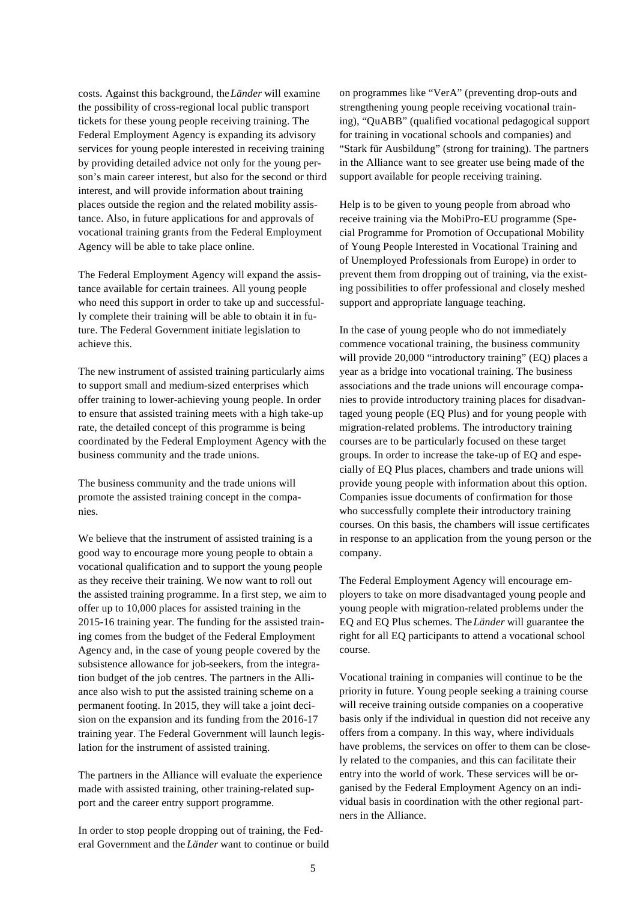costs. Against this background, the*Länder* will examine the possibility of cross-regional local public transport tickets for these young people receiving training. The Federal Employment Agency is expanding its advisory services for young people interested in receiving training by providing detailed advice not only for the young person's main career interest, but also for the second or third interest, and will provide information about training places outside the region and the related mobility assistance. Also, in future applications for and approvals of vocational training grants from the Federal Employment Agency will be able to take place online.

The Federal Employment Agency will expand the assistance available for certain trainees. All young people who need this support in order to take up and successfully complete their training will be able to obtain it in future. The Federal Government initiate legislation to achieve this.

The new instrument of assisted training particularly aims to support small and medium-sized enterprises which offer training to lower-achieving young people. In order to ensure that assisted training meets with a high take-up rate, the detailed concept of this programme is being coordinated by the Federal Employment Agency with the business community and the trade unions.

The business community and the trade unions will promote the assisted training concept in the companies.

We believe that the instrument of assisted training is a good way to encourage more young people to obtain a vocational qualification and to support the young people as they receive their training. We now want to roll out the assisted training programme. In a first step, we aim to offer up to 10,000 places for assisted training in the 2015-16 training year. The funding for the assisted training comes from the budget of the Federal Employment Agency and, in the case of young people covered by the subsistence allowance for job-seekers, from the integration budget of the job centres. The partners in the Alliance also wish to put the assisted training scheme on a permanent footing. In 2015, they will take a joint decision on the expansion and its funding from the 2016-17 training year. The Federal Government will launch legislation for the instrument of assisted training.

The partners in the Alliance will evaluate the experience made with assisted training, other training-related support and the career entry support programme.

In order to stop people dropping out of training, the Federal Government and the *Länder* want to continue or build on programmes like "VerA" (preventing drop-outs and strengthening young people receiving vocational training), "QuABB" (qualified vocational pedagogical support for training in vocational schools and companies) and "Stark für Ausbildung" (strong for training). The partners in the Alliance want to see greater use being made of the support available for people receiving training.

Help is to be given to young people from abroad who receive training via the MobiPro-EU programme (Special Programme for Promotion of Occupational Mobility of Young People Interested in Vocational Training and of Unemployed Professionals from Europe) in order to prevent them from dropping out of training, via the existing possibilities to offer professional and closely meshed support and appropriate language teaching.

In the case of young people who do not immediately commence vocational training, the business community will provide 20,000 "introductory training" (EQ) places a year as a bridge into vocational training. The business associations and the trade unions will encourage companies to provide introductory training places for disadvantaged young people (EQ Plus) and for young people with migration-related problems. The introductory training courses are to be particularly focused on these target groups. In order to increase the take-up of EQ and especially of EQ Plus places, chambers and trade unions will provide young people with information about this option. Companies issue documents of confirmation for those who successfully complete their introductory training courses. On this basis, the chambers will issue certificates in response to an application from the young person or the company.

The Federal Employment Agency will encourage employers to take on more disadvantaged young people and young people with migration-related problems under the EQ and EQ Plus schemes. The*Länder* will guarantee the right for all EQ participants to attend a vocational school course.

Vocational training in companies will continue to be the priority in future. Young people seeking a training course will receive training outside companies on a cooperative basis only if the individual in question did not receive any offers from a company. In this way, where individuals have problems, the services on offer to them can be closely related to the companies, and this can facilitate their entry into the world of work. These services will be organised by the Federal Employment Agency on an individual basis in coordination with the other regional partners in the Alliance.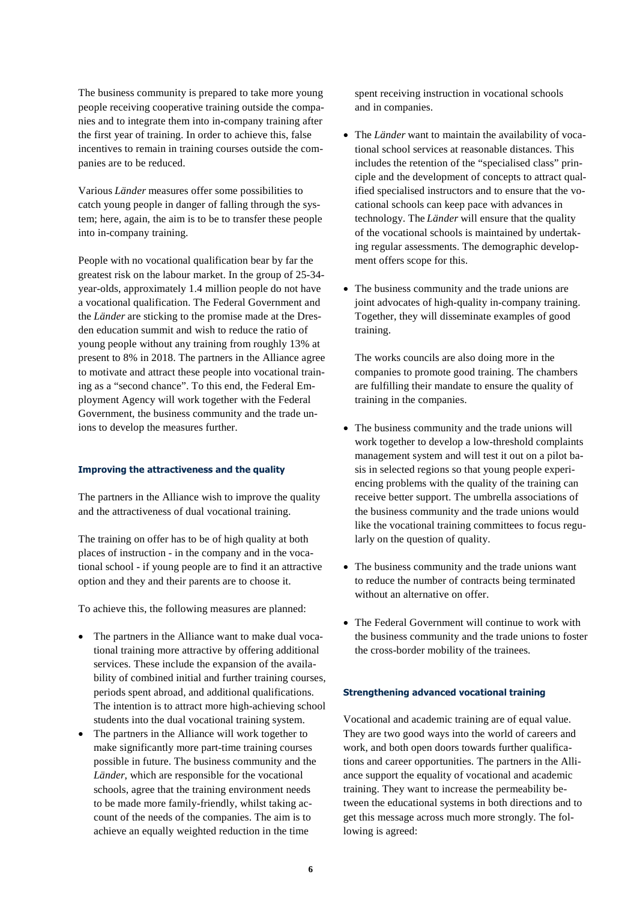The business community is prepared to take more young people receiving cooperative training outside the companies and to integrate them into in-company training after the first year of training. In order to achieve this, false incentives to remain in training courses outside the companies are to be reduced.

Various *Länder* measures offer some possibilities to catch young people in danger of falling through the system; here, again, the aim is to be to transfer these people into in-company training.

People with no vocational qualification bear by far the greatest risk on the labour market. In the group of 25-34 year-olds, approximately 1.4 million people do not have a vocational qualification. The Federal Government and the *Länder* are sticking to the promise made at the Dresden education summit and wish to reduce the ratio of young people without any training from roughly 13% at present to 8% in 2018. The partners in the Alliance agree to motivate and attract these people into vocational training as a "second chance". To this end, the Federal Employment Agency will work together with the Federal Government, the business community and the trade unions to develop the measures further.

#### **Improving the attractiveness and the quality**

The partners in the Alliance wish to improve the quality and the attractiveness of dual vocational training.

The training on offer has to be of high quality at both places of instruction - in the company and in the vocational school - if young people are to find it an attractive option and they and their parents are to choose it.

To achieve this, the following measures are planned:

- The partners in the Alliance want to make dual vocational training more attractive by offering additional services. These include the expansion of the availability of combined initial and further training courses, periods spent abroad, and additional qualifications. The intention is to attract more high-achieving school students into the dual vocational training system.
- The partners in the Alliance will work together to make significantly more part-time training courses possible in future. The business community and the *Länder*, which are responsible for the vocational schools, agree that the training environment needs to be made more family-friendly, whilst taking account of the needs of the companies. The aim is to achieve an equally weighted reduction in the time

spent receiving instruction in vocational schools and in companies.

- The *Länder* want to maintain the availability of vocational school services at reasonable distances. This includes the retention of the "specialised class" principle and the development of concepts to attract qualified specialised instructors and to ensure that the vocational schools can keep pace with advances in technology. The *Länder* will ensure that the quality of the vocational schools is maintained by undertaking regular assessments. The demographic development offers scope for this.
- The business community and the trade unions are joint advocates of high-quality in-company training. Together, they will disseminate examples of good training.

The works councils are also doing more in the companies to promote good training. The chambers are fulfilling their mandate to ensure the quality of training in the companies.

- The business community and the trade unions will work together to develop a low-threshold complaints management system and will test it out on a pilot basis in selected regions so that young people experiencing problems with the quality of the training can receive better support. The umbrella associations of the business community and the trade unions would like the vocational training committees to focus regularly on the question of quality.
- The business community and the trade unions want to reduce the number of contracts being terminated without an alternative on offer.
- The Federal Government will continue to work with the business community and the trade unions to foster the cross-border mobility of the trainees.

#### **Strengthening advanced vocational training**

Vocational and academic training are of equal value. They are two good ways into the world of careers and work, and both open doors towards further qualifications and career opportunities. The partners in the Alliance support the equality of vocational and academic training. They want to increase the permeability between the educational systems in both directions and to get this message across much more strongly. The following is agreed: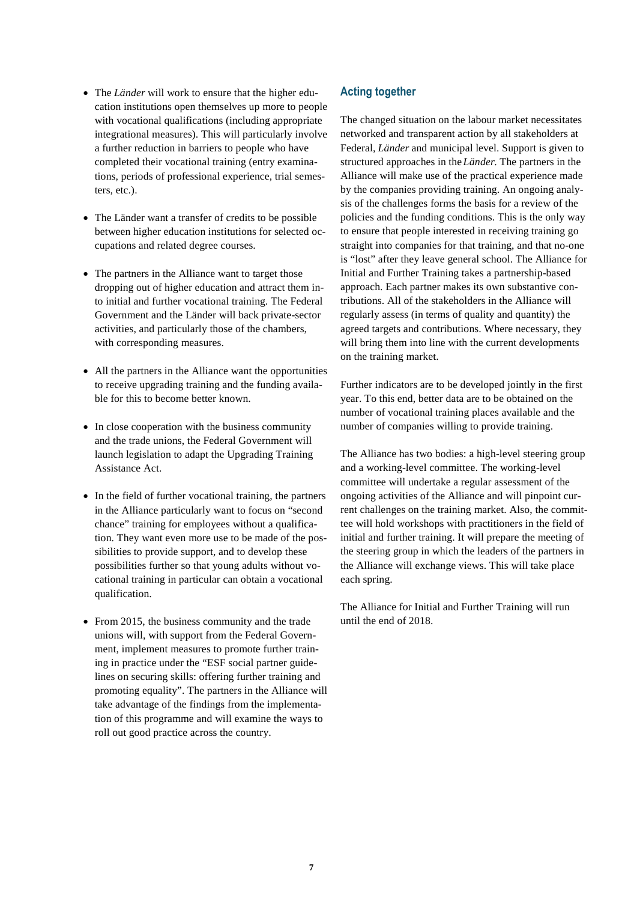- The *Länder* will work to ensure that the higher education institutions open themselves up more to people with vocational qualifications (including appropriate integrational measures). This will particularly involve a further reduction in barriers to people who have completed their vocational training (entry examinations, periods of professional experience, trial semesters, etc.).
- The Länder want a transfer of credits to be possible between higher education institutions for selected occupations and related degree courses.
- The partners in the Alliance want to target those dropping out of higher education and attract them into initial and further vocational training. The Federal Government and the Länder will back private-sector activities, and particularly those of the chambers, with corresponding measures.
- All the partners in the Alliance want the opportunities to receive upgrading training and the funding available for this to become better known.
- In close cooperation with the business community and the trade unions, the Federal Government will launch legislation to adapt the Upgrading Training Assistance Act.
- In the field of further vocational training, the partners in the Alliance particularly want to focus on "second chance" training for employees without a qualification. They want even more use to be made of the possibilities to provide support, and to develop these possibilities further so that young adults without vocational training in particular can obtain a vocational qualification.
- From 2015, the business community and the trade unions will, with support from the Federal Government, implement measures to promote further training in practice under the "ESF social partner guidelines on securing skills: offering further training and promoting equality". The partners in the Alliance will take advantage of the findings from the implementation of this programme and will examine the ways to roll out good practice across the country.

## **Acting together**

The changed situation on the labour market necessitates networked and transparent action by all stakeholders at Federal, *Länder* and municipal level. Support is given to structured approaches in the *Länder*. The partners in the Alliance will make use of the practical experience made by the companies providing training. An ongoing analysis of the challenges forms the basis for a review of the policies and the funding conditions. This is the only way to ensure that people interested in receiving training go straight into companies for that training, and that no-one is "lost" after they leave general school. The Alliance for Initial and Further Training takes a partnership-based approach. Each partner makes its own substantive contributions. All of the stakeholders in the Alliance will regularly assess (in terms of quality and quantity) the agreed targets and contributions. Where necessary, they will bring them into line with the current developments on the training market.

Further indicators are to be developed jointly in the first year. To this end, better data are to be obtained on the number of vocational training places available and the number of companies willing to provide training.

The Alliance has two bodies: a high-level steering group and a working-level committee. The working-level committee will undertake a regular assessment of the ongoing activities of the Alliance and will pinpoint current challenges on the training market. Also, the committee will hold workshops with practitioners in the field of initial and further training. It will prepare the meeting of the steering group in which the leaders of the partners in the Alliance will exchange views. This will take place each spring.

The Alliance for Initial and Further Training will run until the end of 2018.